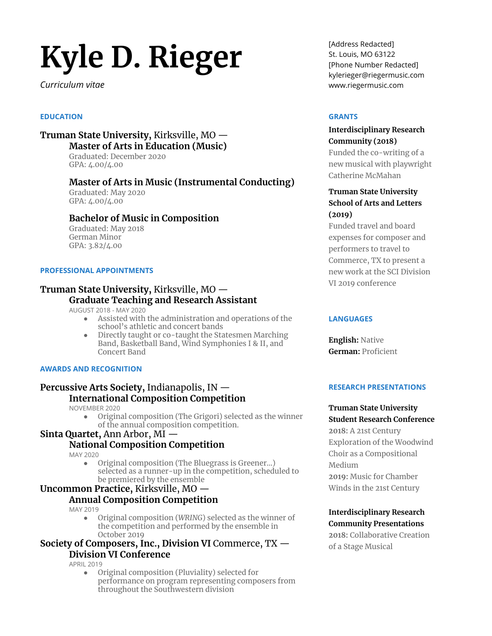# **KƘle D˼ Riegeũ**

*CWTTicWlWm XiVae*

#### **EDUCATION**

# **Truman State University, Kirksville, MO**  $-$ **Master of Arts in Education (Music)**

Graduated: December 2020 GPA: 4.00/4.00

## **Master of Arts in Music (Instrumental Conducting)**

Graduated: May 2020  $GPA: 4.00/4.00$ 

## **Bachelor of Music in Composition**

Graduated: May 2018 German Minor  $GPA: 3.82/4.00$ 

#### **PROFESSIONAL APPOINTMENTS**

## **Truman State University, Kirksville, MO**  $-$ **Graduate Teaching and Research Assistant**

AUGUST 2018 - MAY 2020

- Assisted with the administration and operations of the school's athletic and concert bands
- Directly taught or co-taught the Statesmen Marching Band, Basketball Band, Wind Symphonies I & II, and Concert Band

#### **AWARDS AND RECOGNITION**

# **Percussive Arts Society, Indianapolis, IN**  $-$ **International Composition Competition**

NOVEMBER 2020

Original composition (The Grigori) selected as the winner of the annual composition competition.

# **Sinta Quartet, Ann Arbor, MI –**

# **National Composition Competition**

MAY 2020

Original composition (The Bluegrass is Greener...) selected as a runner-up in the competition, scheduled to be premiered by the ensemble

# **Uncommon Practice, Kirksville, MO**  $-$

# **Annual Composition Competition**

MAY 2019

• Original composition (WRING) selected as the winner of the competition and performed by the ensemble in October 2019

#### **Society of Composers, Inc., Division VI** Commerce, TX  $-$ **Division VI Conference**

**APRIL 2019** 

Original composition (Pluviality) selected for performance on program representing composers from throughout the Southwestern division

[Address Redacted] St. Louis, MO 63122 [Phone Number Redacted] kylerieger@riegermusic.com www.riegermusic.com

#### **GRANTS**

#### **Interdisciplinary Research Community (2018)**

Funded the co-writing of a new musical with playwright Catherine McMahan

# **Truman State University School of Arts and Letters**  $(2019)$

Funded travel and board expenses for composer and performers to travel to Commerce, TX to present a new work at the SCI Division VI 2019 conference

#### **LANGUAGES**

**English: Native German**: Proficient

#### **RESEARCH PRESENTATIONS**

#### **Truman State University Student Research Conference**

**2018: A 21st Century** Exploration of the Woodwind Choir as a Compositional Medium **2019: Music for Chamber** 

Winds in the 21st Century

#### **Interdisciplinary Research Community Presentations**

**2018: Collaborative Creation** of a Stage Musical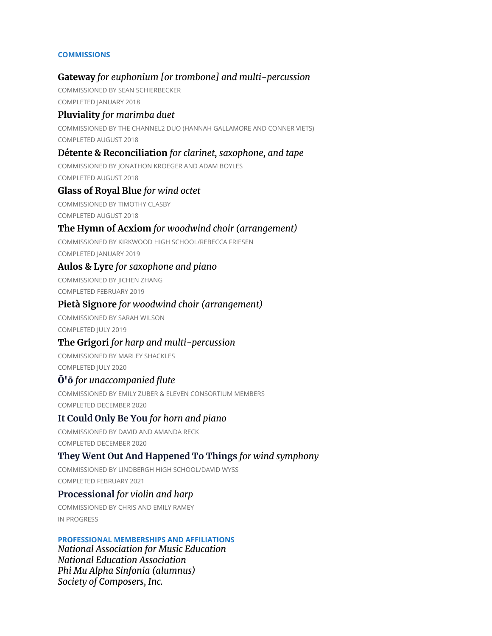#### **COMMISSIONS**

# **Gateway** *for euphonium [or trombone] and multi-percussion*

COMMISSIONED BY SEAN SCHIERBECKER COMPLETED JANUARY 2018

# **Pluviality** *for marimba duet*

COMMISSIONED BY THE CHANNEL2 DUO (HANNAH GALLAMORE AND CONNER VIETS) COMPLETED AUGUST 2018

# **Détente & Reconciliation** *for clarinet, saxophone, and tape*

COMMISSIONED BY JONATHON KROEGER AND ADAM BOYLES COMPLETED AUGUST 2018

## **Glass of Royal Blue** *for wind octet*

COMMISSIONED BY TIMOTHY CLASBY COMPLETED AUGUST 2018

# **The Hymn of Acxiom** *for woodwind choir (arrangement)*

COMMISSIONED BY KIRKWOOD HIGH SCHOOL/REBECCA FRIESEN COMPLETED JANUARY 2019

## **Aulos & Lyre** *for saxophone and piano*

COMMISSIONED BY JICHEN ZHANG COMPLETED FEBRUARY 2019

## **Pietà Signore** *for woodwind choir (arrangement)*

COMMISSIONED BY SARAH WILSON COMPLETED JULY 2019

## **The Grigori** *for harp and multi-percussion*

COMMISSIONED BY MARLEY SHACKLES COMPLETED JULY 2020

# Ō'ō *for unaccompanied flute*

COMMISSIONED BY EMILY ZUBER & ELEVEN CONSORTIUM MEMBERS COMPLETED DECEMBER 2020

# **It Could Only Be You** *for horn and piano*

COMMISSIONED BY DAVID AND AMANDA RECK COMPLETED DECEMBER 2020

# **They Went Out And Happened To Things** *for wind symphony*

COMMISSIONED BY LINDBERGH HIGH SCHOOL/DAVID WYSS COMPLETED FEBRUARY 2021

## **Processional** *for violin and harp*

COMMISSIONED BY CHRIS AND EMILY RAMEY IN PROGRESS

## **PROFESSIONAL MEMBERSHIPS AND AFFILIATIONS**

*National Association for Music Education National Education Association Phi Mu Alpha Sinfonia (alumnus) Society of Composers, Inc.*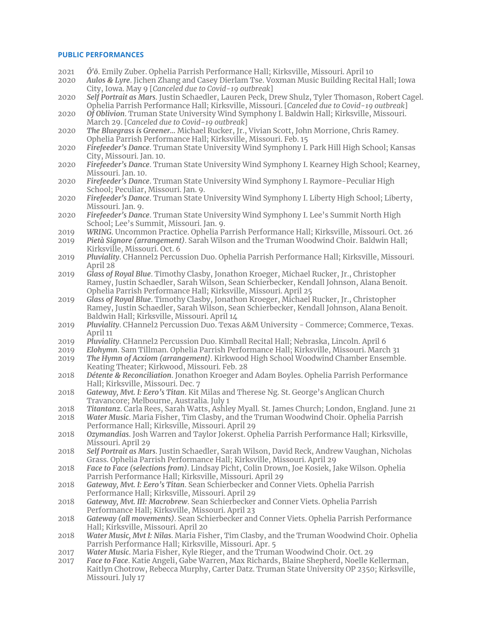#### **PUBLIC PERFORMANCES**

- 2021 *Ō'ō*. Emily Zuber. Ophelia Parrish Performance Hall; Kirksville, Missouri. April 10
- 2020 *Aulos & Lyre*. Jichen Zhang and Casey Dierlam Tse. Voxman Music Building Recital Hall; Iowa City, Iowa. May 9 [*Canceled due to Covid-19 outbreak*]
- 2020 *Self Portrait as Mars*. Justin Schaedler, Lauren Peck, Drew Shulz, Tyler Thomason, Robert Cagel. Ophelia Parrish Performance Hall; Kirksville, Missouri. [*Canceled due to Covid-19 outbreak*]
- 2020 *Of Oblivion*. Truman State University Wind Symphony I. Baldwin Hall; Kirksville, Missouri. March 29. [*Canceled due to Covid-19 outbreak*]
- 2020 *The Bluegrass is Greener…* Michael Rucker, Jr., Vivian Scott, John Morrione, Chris Ramey. Ophelia Parrish Performance Hall; Kirksville, Missouri. Feb. 15
- 2020 *Firefeeder's Dance*. Truman State University Wind Symphony I. Park Hill High School; Kansas City, Missouri. Jan. 10.
- 2020 *Firefeeder's Dance*. Truman State University Wind Symphony I. Kearney High School; Kearney, Missouri. Jan. 10.
- 2020 *Firefeeder's Dance*. Truman State University Wind Symphony I. Raymore-Peculiar High School; Peculiar, Missouri. Jan. 9.
- 2020 *Firefeeder's Dance*. Truman State University Wind Symphony I. Liberty High School; Liberty, Missouri. Jan. 9.
- 2020 *Firefeeder's Dance*. Truman State University Wind Symphony I. Lee's Summit North High School; Lee's Summit, Missouri. Jan. 9.
- 2019 *WRING*. Uncommon Practice. Ophelia Parrish Performance Hall; Kirksville, Missouri. Oct. 26
- 2019 *Pietà Signore (arrangement)*. Sarah Wilson and the Truman Woodwind Choir. Baldwin Hall; Kirksville, Missouri. Oct. 6
- 2019 *Pluviality*. CHannel2 Percussion Duo. Ophelia Parrish Performance Hall; Kirksville, Missouri. April 28
- 2019 *Glass of Royal Blue*. Timothy Clasby, Jonathon Kroeger, Michael Rucker, Jr., Christopher Ramey, Justin Schaedler, Sarah Wilson, Sean Schierbecker, Kendall Johnson, Alana Benoit. Ophelia Parrish Performance Hall; Kirksville, Missouri. April 25
- 2019 *Glass of Royal Blue*. Timothy Clasby, Jonathon Kroeger, Michael Rucker, Jr., Christopher Ramey, Justin Schaedler, Sarah Wilson, Sean Schierbecker, Kendall Johnson, Alana Benoit. Baldwin Hall; Kirksville, Missouri. April 14
- 2019 *Pluviality*. CHannel2 Percussion Duo. Texas A&M University Commerce; Commerce, Texas. April 11
- 2019 *Pluviality*. CHannel2 Percussion Duo. Kimball Recital Hall; Nebraska, Lincoln. April 6
- 2019 *Elohymn*. Sam Tillman. Ophelia Parrish Performance Hall; Kirksville, Missouri. March 31
- 2019 *The Hymn of Acxiom (arrangement)*. Kirkwood High School Woodwind Chamber Ensemble. Keating Theater; Kirkwood, Missouri. Feb. 28
- 2018 *Détente & Reconciliation*. Jonathon Kroeger and Adam Boyles. Ophelia Parrish Performance Hall; Kirksville, Missouri. Dec. 7
- 2018 *Gateway, Mvt. I: Eero's Titan*. Kit Milas and Therese Ng. St. George's Anglican Church Travancore; Melbourne, Australia. July 1
- 2018 *Titantanz*. Carla Rees, Sarah Watts, Ashley Myall. St. James Church; London, England. June 21
- 2018 *Water Music*. Maria Fisher, Tim Clasby, and the Truman Woodwind Choir. Ophelia Parrish Performance Hall; Kirksville, Missouri. April 29
- 2018 *Ozymandias*. Josh Warren and Taylor Jokerst. Ophelia Parrish Performance Hall; Kirksville, Missouri. April 29
- 2018 *Self Portrait as Mars*. Justin Schaedler, Sarah Wilson, David Reck, Andrew Vaughan, Nicholas Grass. Ophelia Parrish Performance Hall; Kirksville, Missouri. April 29
- 2018 *Face to Face (selections from)*. Lindsay Picht, Colin Drown, Joe Kosiek, Jake Wilson. Ophelia Parrish Performance Hall; Kirksville, Missouri. April 29
- 2018 *Gateway, Mvt. I: Eero's Titan*. Sean Schierbecker and Conner Viets. Ophelia Parrish Performance Hall; Kirksville, Missouri. April 29
- 2018 *Gateway, Mvt. III: Macrobrew*. Sean Schierbecker and Conner Viets. Ophelia Parrish Performance Hall; Kirksville, Missouri. April 23
- 2018 *Gateway (all movements)*. Sean Schierbecker and Conner Viets. Ophelia Parrish Performance Hall; Kirksville, Missouri. April 20
- 2018 *Water Music, Mvt I: Nilas*. Maria Fisher, Tim Clasby, and the Truman Woodwind Choir. Ophelia Parrish Performance Hall; Kirksville, Missouri. Apr. 5
- 2017 *Water Music*. Maria Fisher, Kyle Rieger, and the Truman Woodwind Choir. Oct. 29
- 2017 *Face to Face*. Katie Angeli, Gabe Warren, Max Richards, Blaine Shepherd, Noelle Kellerman, Kaitlyn Chotrow, Rebecca Murphy, Carter Datz. Truman State University OP 2350; Kirksville, Missouri. July 17